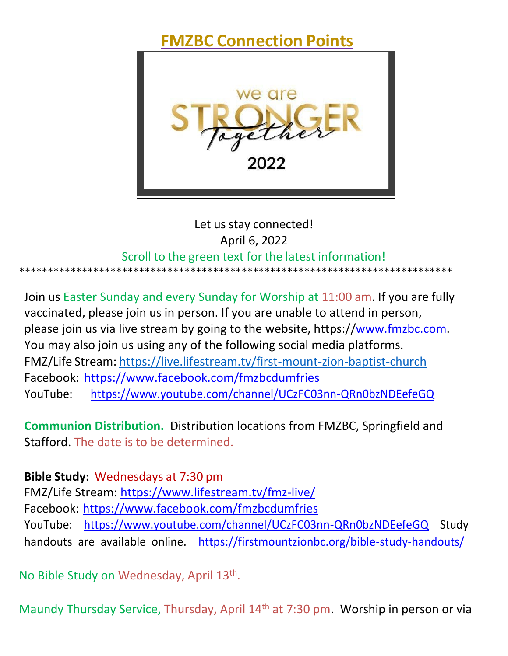**FMZBC Connection Points**



# Let us stay connected! April 6, 2022 Scroll to the green text for the latest information! \*\*\*\*\*\*\*\*\*\*\*\*\*\*\*\*\*\*\*\*\*\*\*\*\*\*\*\*\*\*\*\*\*\*\*\*\*\*\*\*\*\*\*\*\*\*\*\*\*\*\*\*\*\*\*\*\*\*\*\*\*\*\*\*\*\*\*\*\*\*\*\*\*\*\*\*

Join us Easter Sunday and every Sunday for Worship at 11:00 am. If you are fully vaccinated, please join us in person. If you are unable to attend in person, please join us via live stream by going to the website, https:[//www.fmzbc.com.](http://www.fmzbc.com/)  You may also join us using any of the following social media platforms. FMZ/Life Stream: [https://live.lifestream.tv/first-mount-zion-baptist-church](https://nam12.safelinks.protection.outlook.com/?url=https%3A%2F%2Flive.lifestream.tv%2Ffirst-mount-zion-baptist-church&data=04%7C01%7CRWoolfolk%40FirstMountZionBC.org%7C37750379369b4328c31808d9aaa943a2%7C66d89cb14adc425496b9914ddd4506b0%7C0%7C0%7C637728466240322366%7CUnknown%7CTWFpbGZsb3d8eyJWIjoiMC4wLjAwMDAiLCJQIjoiV2luMzIiLCJBTiI6Ik1haWwiLCJXVCI6Mn0%3D%7C3000&sdata=4e93xSyZeJDrSMzi10rFXIHmHiNEhdrfCso80v1f9DM%3D&reserved=0) Facebook: <https://www.facebook.com/fmzbcdumfries> YouTube: h[ttps://www.youtube.com/channel/UCzFC03nn-QRn0bzNDEefeGQ](https://www.youtube.com/channel/UCzFC03nn-QRn0bzNDEefeGQ)

**Communion Distribution.** Distribution locations from FMZBC, Springfield and Stafford. The date is to be determined.

**Bible Study:** Wednesdays at 7:30 pm FMZ/Life Stream:<https://www.lifestream.tv/fmz-live/> Facebook: <https://www.facebook.com/fmzbcdumfries> YouTube: [https://www.youtube.com/channel/UCzFC03nn-QRn0bzNDEefeGQ S](https://www.youtube.com/channel/UCzFC03nn-QRn0bzNDEefeGQ)tudy handouts are available online. <https://firstmountzionbc.org/bible-study-handouts/>

No Bible Study on Wednesday, April 13<sup>th</sup>.

Maundy Thursday Service, Thursday, April 14th at 7:30 pm. Worship in person or via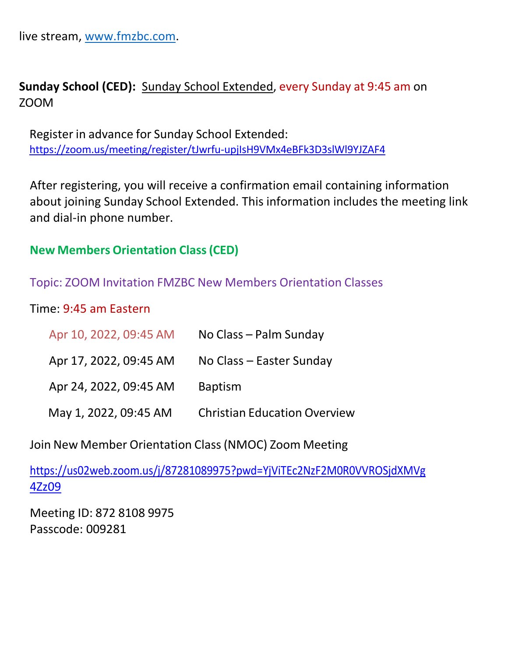live stream, [www.fmzbc.com.](http://www.fmzbc.com/)

## **Sunday School (CED):** Sunday School Extended, every Sunday at 9:45 am on ZOOM

Register in advance for Sunday School Extended: https://zoom.us/meeting/register/tJwrfu-upjIsH9VMx4eBFk3D3slWl9YJZAF4

After registering, you will receive a confirmation email containing information about joining Sunday School Extended. This information includes the meeting link and dial-in phone number.

#### **New Members Orientation Class(CED)**

#### Topic: ZOOM Invitation FMZBC New Members Orientation Classes

Time: 9:45 am Eastern

| Apr 10, 2022, 09:45 AM | No Class – Palm Sunday              |
|------------------------|-------------------------------------|
| Apr 17, 2022, 09:45 AM | No Class - Easter Sunday            |
| Apr 24, 2022, 09:45 AM | <b>Baptism</b>                      |
| May 1, 2022, 09:45 AM  | <b>Christian Education Overview</b> |

Join New Member Orientation Class(NMOC) Zoom Meeting

[https://us02web.zoom.us/j/87281089975?pwd=YjViTEc2NzF2M0R0VVROSjdXMVg](https://us02web.zoom.us/j/87281089975?pwd=YjViTEc2NzF2M0R0VVROSjdXMVg4Zz09)  [4Zz09](https://us02web.zoom.us/j/87281089975?pwd=YjViTEc2NzF2M0R0VVROSjdXMVg4Zz09)

Meeting ID: 872 8108 9975 Passcode: 009281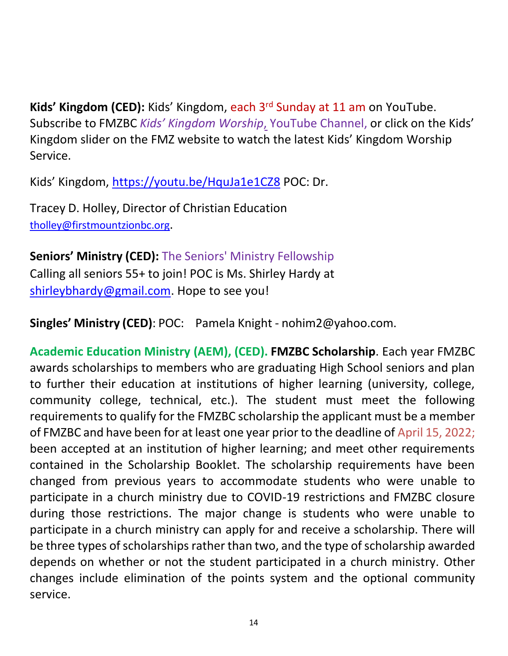**Kids' Kingdom (CED):** Kids' Kingdom, each 3rd Sunday at 11 am on YouTube. Subscribe to FMZBC *Kids' Kingdom Worship*, YouTube Channel, or click on the Kids' Kingdom slider on the FMZ website to watch the latest Kids' Kingdom Worship Service.

Kids' Kingdom, [https://youtu.be/HquJa1e1CZ8](https://nam12.safelinks.protection.outlook.com/?url=https%3A%2F%2Fyoutu.be%2FHquJa1e1CZ8&data=04%7C01%7CRWoolfolk%40firstmountzionbc.org%7C8777c78e3aba442e3e0a08d9d8e48587%7C66d89cb14adc425496b9914ddd4506b0%7C0%7C0%7C637779298281187161%7CUnknown%7CTWFpbGZsb3d8eyJWIjoiMC4wLjAwMDAiLCJQIjoiV2luMzIiLCJBTiI6Ik1haWwiLCJXVCI6Mn0%3D%7C3000&sdata=gYvR2jM1Ky3408eQw4FB0KjSkkYVKTw8VN5HCFFNVYw%3D&reserved=0) POC: Dr.

Tracey D. Holley, Director of Christian Education [tholley@firstmountzionbc.org](mailto:tholley@firstmountzionbc.org).

**Seniors' Ministry (CED):** The Seniors' Ministry Fellowship Calling all seniors 55+ to join! POC is Ms. Shirley Hardy at [shirleybhardy@gmail.com.](mailto:shirleybhardy@gmail.com) Hope to see you!

**Singles' Ministry (CED)**: POC: Pamela Knight - [nohim2@yahoo.com.](mailto:nohim2@yahoo.com)

**Academic Education Ministry (AEM), (CED). FMZBC Scholarship**. Each year FMZBC awards scholarships to members who are graduating High School seniors and plan to further their education at institutions of higher learning (university, college, community college, technical, etc.). The student must meet the following requirements to qualify for the FMZBC scholarship the applicant must be a member of FMZBC and have been for at least one year prior to the deadline of April 15, 2022; been accepted at an institution of higher learning; and meet other requirements contained in the Scholarship Booklet. The scholarship requirements have been changed from previous years to accommodate students who were unable to participate in a church ministry due to COVID-19 restrictions and FMZBC closure during those restrictions. The major change is students who were unable to participate in a church ministry can apply for and receive a scholarship. There will be three types of scholarships rather than two, and the type of scholarship awarded depends on whether or not the student participated in a church ministry. Other changes include elimination of the points system and the optional community service.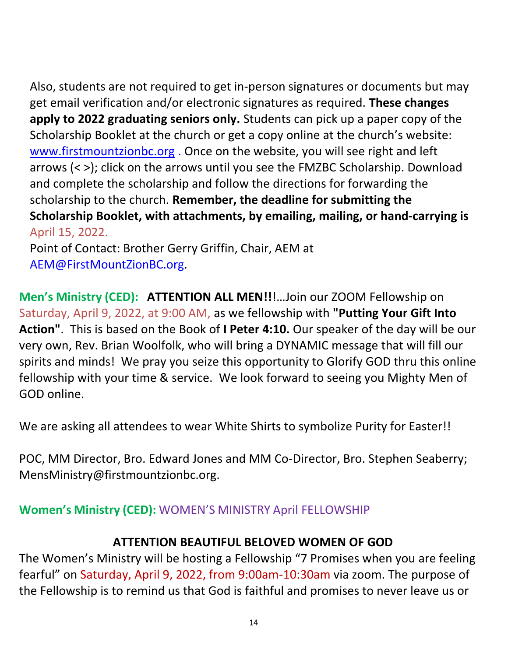Also, students are not required to get in-person signatures or documents but may get email verification and/or electronic signatures as required. **These changes apply to 2022 graduating seniors only.** Students can pick up a paper copy of the Scholarship Booklet at the church or get a copy online at the church's website: [www.firstmountzionbc.org](http://www.firstmountzionbc.org/) . Once on the website, you will see right and left arrows (< >); click on the arrows until you see the FMZBC Scholarship. Download and complete the scholarship and follow the directions for forwarding the scholarship to the church. **Remember, the deadline for submitting the Scholarship Booklet, with attachments, by emailing, mailing, or hand-carrying is**  April 15, 2022. Point of Contact: Brother Gerry Griffin, Chair, AEM at

[AEM@FirstMountZionBC.org.](mailto:AEM@FirstMountZionBC.org)

**Men's Ministry (CED): ATTENTION ALL MEN!!**!…Join our ZOOM Fellowship on Saturday, April 9, 2022, at 9:00 AM, as we fellowship with **"Putting Your Gift Into Action"**. This is based on the Book of **I Peter 4:10.** Our speaker of the day will be our very own, Rev. Brian Woolfolk, who will bring a DYNAMIC message that will fill our spirits and minds! We pray you seize this opportunity to Glorify GOD thru this online fellowship with your time & service. We look forward to seeing you Mighty Men of GOD online.

We are asking all attendees to wear White Shirts to symbolize Purity for Easter!!

POC, MM Director, Bro. Edward Jones and MM Co-Director, Bro. Stephen Seaberry; [MensMinistry@firstmountzionbc.org.](mailto:MensMinistry@firstmountzionbc.org)

### **Women's Ministry (CED):** WOMEN'S MINISTRY April FELLOWSHIP

### **ATTENTION BEAUTIFUL BELOVED WOMEN OF GOD**

The Women's Ministry will be hosting a Fellowship "7 Promises when you are feeling fearful" on Saturday, April 9, 2022, from 9:00am-10:30am via zoom. The purpose of the Fellowship is to remind us that God is faithful and promises to never leave us or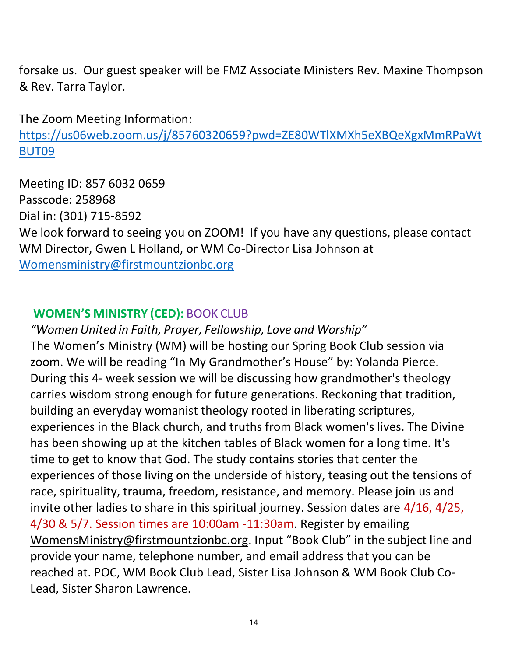forsake us. Our guest speaker will be FMZ Associate Ministers Rev. Maxine Thompson & Rev. Tarra Taylor.

The Zoom Meeting Information:

[https://us06web.zoom.us/j/85760320659?pwd=ZE80WTlXMXh5eXBQeXgxMmRPaWt](https://us06web.zoom.us/j/85760320659?pwd=ZE80WTlXMXh5eXBQeXgxMmRPaWtBUT09) [BUT09](https://us06web.zoom.us/j/85760320659?pwd=ZE80WTlXMXh5eXBQeXgxMmRPaWtBUT09)

Meeting ID: 857 6032 0659 Passcode: 258968 Dial in: (301) 715-8592 We look forward to seeing you on ZOOM! If you have any questions, please contact WM Director, Gwen L Holland, or WM Co-Director Lisa Johnson at [Womensministry@firstmountzionbc.org](mailto:Womensministry@firstmountzionbc.org) 

### **WOMEN'S MINISTRY (CED):** BOOK CLUB

*"Women United in Faith, Prayer, Fellowship, Love and Worship"* The Women's Ministry (WM) will be hosting our Spring Book Club session via zoom. We will be reading "In My Grandmother's House" by: Yolanda Pierce. During this 4- [week session we will be discussing how](mailto:Womensministry@firstmountzionbc.org) grandmother's theology carries wisdom strong enough for future generations. Reckoning that tradition, building an everyday womanist theology rooted in liberating scriptures, experiences in the Black church, and truths from Black women's lives. The Divine has been showing up at the kitchen tables of Black women for a long time. It's time to get to know that God. The study contains stories that center the experiences of those living on the underside of history, teasing out the tensions of race, spirituality, trauma, freedom, resistance, and memory. Please join us and invite other ladies to share in this spiritual journey. Session dates are 4/16, 4/25, 4/30 & 5/7. Session times are 10:00am -11:30am. Register by emailing [WomensMinistry@firstmountzionbc.org.](mailto:WomensMinistry@firstmountzionbc.org) Input "Book Club" in the subject line and provide your name, telephone number, and email address that you can be reached at. POC, WM Book Club Lead, Sister Lisa Johnson & WM Book Club Co-Lead, Sister Sharon Lawrence.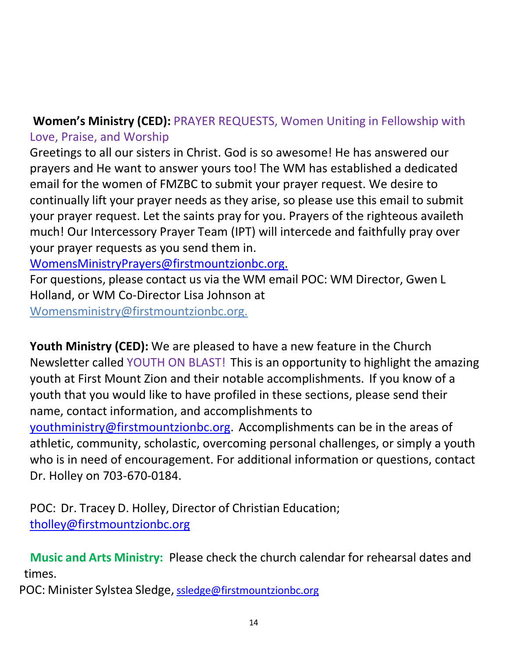# **Women's Ministry (CED):** PRAYER REQUESTS, Women Uniting in Fellowship with Love, Praise, and Worship

Greetings to all our sisters in Christ. God is so awesome! He has answered our prayers and He want to answer yours too! The WM has established a dedicated email for the women of FMZBC to submit your prayer request. We desire to continually lift your prayer needs as they arise, so please use this email to submit your prayer request. Let the saints pray for you. Prayers of the righteous availeth much! Our Intercessory Prayer Team (IPT) will intercede and faithfully pray over your prayer requests as you send them in.

[WomensMinistryPrayers@firstmountzionbc.org.](mailto:WomensMinistryPrayers@firstmountzionbc.org)

For questions, please contact us via the WM email POC: WM Director, Gwen L Holland, or WM Co-Director Lisa Johnson at [Womensministry@firstmountzionbc.org.](mailto:Womensministry@firstmountzionbc.org.)

**[Youth Ministry \(CED\):](mailto:Womensministry@firstmountzionbc.org)** We are pleased to have a new feature in the Church Newsletter called YOUTH ON BLAST! This is an opportunity to highlight the amazing youth at First Mount Zion and their notable accomplishments. If you know of a youth that you would like to have profiled in these sections, please send their name, contact information, and accomplishments to [youthministry@firstmountzionbc.org.](mailto:youthministry@firstmountzionbc.org) Accomplishments can be in the areas of athletic, community, scholastic, overcoming personal challenges, or simply a youth [who is in need of encouragement. For a](mailto:youthministry@firstmountzionbc.org)dditional information or questions, contact Dr. Holley on 703-670-0184.

POC: Dr. Tracey D. Holley, Director of Christian Education; [tholley@firstmountzionbc.org](mailto:tholley@firstmountzionbc.org)

 **Music and Arts Ministry:** Please check the church calendar for rehearsal dates and times.

POC: Minister Sylstea Sledge, [ssledge@firstmountzionbc.org](mailto:ssledge@firstmountzionbc.org)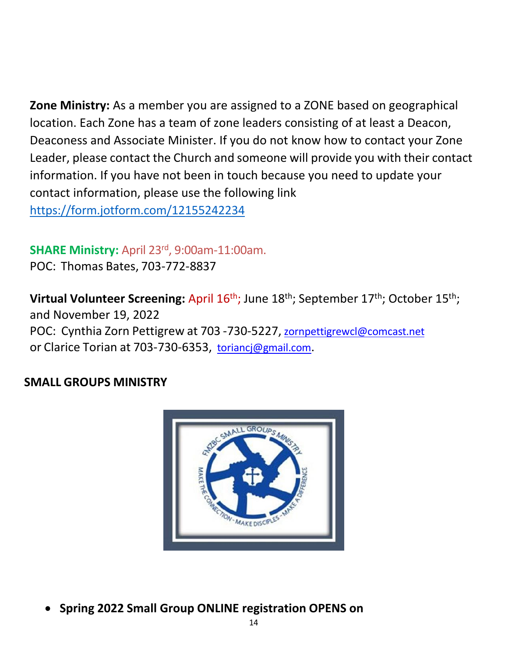**Zone Ministry:** As a member you are assigned to a ZONE based on geographical location. Each Zone has a team of zone leaders consisting of at least a Deacon, Deaconess and Associate Minister. If you do not [know how to contact your Z](mailto:zornpettigrewcl@comcast.net)one Leader, please contact the Church and someone will provide you with their contact information. If you have not been in touch because you need to update your contact information, please use the following link https://form.jotform.com/12155242234

### **SHARE Ministry:** April 23rd, 9:00am-11:00am.

POC: Thomas Bates, 703-772-8837

**Virtual Volunteer Screening: April 16<sup>th</sup>; June 18<sup>th</sup>; September 17<sup>th</sup>; October 15<sup>th</sup>;** and November 19, 2022 POC: Cynthia Zorn Pettigrew at 703 -730-5227, [zornpettigrewcl@comcast.net](mailto:zornpettigrewcl@comcast.net) or Clarice Torian at 703-730-6353, [toriancj@gmail.com](mailto:toriancj@gmail.com)[.](mailto:toriancj@gmail.com)

### **SMALL GROUPS MINISTRY**



• **Spring 2022 Small Group ONLINE registration OPENS on**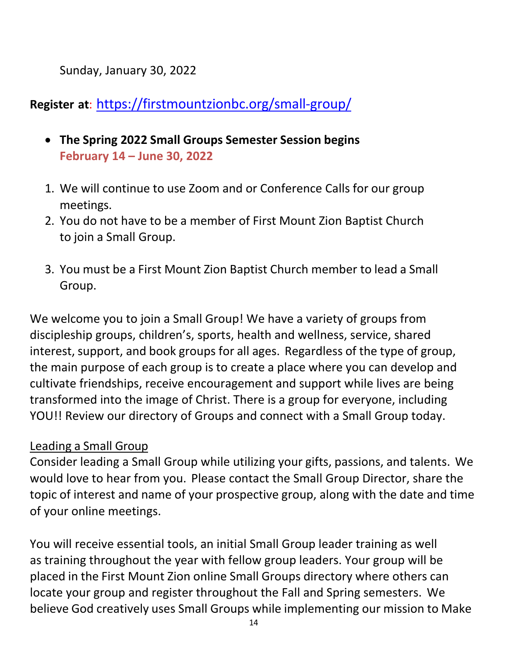Sunday, January 30, 2022

# **Register at**: [https://firstmountzionbc.org/small-group/](https://nam12.safelinks.protection.outlook.com/?url=https%3A%2F%2Ffirstmountzionbc.org%2Fsmall-group%2F&data=04%7C01%7CRWoolfolk%40FirstMountZionBC.org%7Cd609bcedba614f0d05ca08d9df610e88%7C66d89cb14adc425496b9914ddd4506b0%7C0%7C0%7C637786430251307516%7CUnknown%7CTWFpbGZsb3d8eyJWIjoiMC4wLjAwMDAiLCJQIjoiV2luMzIiLCJBTiI6Ik1haWwiLCJXVCI6Mn0%3D%7C3000&sdata=pZ6ZCIoxBI653cW240jeqtxoG0IS519gE3f%2FDLpGBtQ%3D&reserved=0)

- **The Spring 2022 Small Groups Semester Session begins February 14 – June 30, 2022**
- 1. We will continue to use Zoom and or Conference Calls for our group meetings.
- 2. You do not have to be a member of First Mount Zion Baptist Church to join a Small Group.
- 3. You must be a First Mount Zion Baptist Church member to lead a Small Group.

We welcome you to join a Small Group! We have a variety of groups from discipleship groups, children's, sports, health and wellness, service, shared interest, support, and book groups for all ages. Regardless of the type of group, the main purpose of each group is to create a place where you can develop and cultivate friendships, receive encouragement and support while lives are being transformed into the image of Christ. There is a group for everyone, including YOU!! Review our directory of Groups and connect with a Small Group today.

### Leading a Small Group

Consider leading a Small Group while utilizing your gifts, passions, and talents. We would love to hear from you. Please contact the Small Group Director, share the topic of interest and name of your prospective group, along with the date and time of your online meetings.

You will receive essential tools, an initial Small Group leader training as well as training throughout the year with fellow group leaders. Your group will be placed in the First Mount Zion online Small Groups directory where others can locate your group and register throughout the Fall and Spring semesters. We believe God creatively uses Small Groups while implementing our mission to Make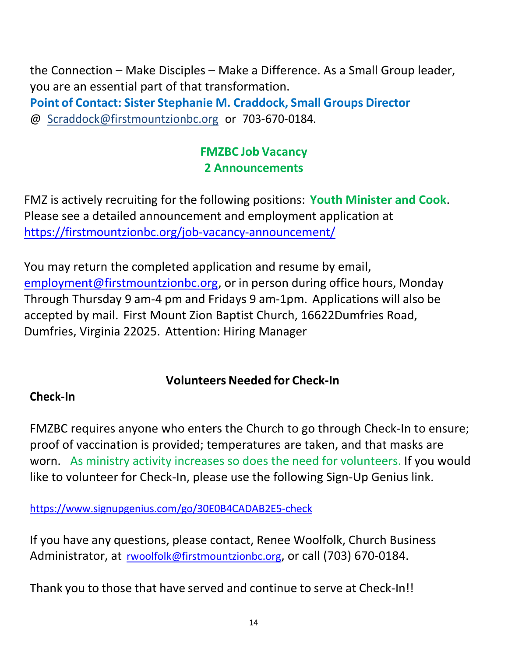the Connection – Make Disciples – Make a Difference. As a Small Group leader, you are an essential part of that transformation.

**Point of Contact: Sister Stephanie M. Craddock, Small Groups Director** @ [Scraddock@firstmountzionbc.org](mailto:Scraddock@firstmountzionbc.org) or 703-670-0184.

# **FMZBC Job Vacancy 2 Announcements**

FMZ is actively recruiting for the following positions: **Youth Minister and Cook**. Please see a detailed announcement and employment application at <https://firstmountzionbc.org/job-vacancy-announcement/>

You may return the completed application and resume by email, [employment@firstmountzionbc.org,](mailto:employment@firstmountzionbc.org) or in person during office hours, Monday Through Thursday 9 am-4 pm and Fridays 9 am-1pm. Applications will also be accepted by mail. First Mount Zion Baptist Church, 16622Dumfries Road, Dumfries, Virginia 22025. Attention: Hiring Manager

## **Volunteers Needed for Check-In**

### **Check-In**

FMZBC requires anyone who enters the Church to go through Check-In to ensure; proof of vaccination is provided; temperatures are taken, and that masks are worn. As ministry activity increases so does the need for volunteers. If you would like to volunteer for Check-In, please use the following Sign-Up Genius link.

[https://www.signupgenius.com/go/30E0B4CADAB2E5-check](https://nam12.safelinks.protection.outlook.com/?url=https%3A%2F%2Fwww.signupgenius.com%2Fgo%2F30E0B4CADAB2E5-check&data=04%7C01%7CRWoolfolk%40FirstMountZionBC.org%7C65140d79886b4ca6b3e308d99e28a887%7C66d89cb14adc425496b9914ddd4506b0%7C0%7C0%7C637714719741921932%7CUnknown%7CTWFpbGZsb3d8eyJWIjoiMC4wLjAwMDAiLCJQIjoiV2luMzIiLCJBTiI6Ik1haWwiLCJXVCI6Mn0%3D%7C1000&sdata=uk37gaAIDDTmmsTELdaAguNjP9qNdPdbDqBW5aWZ4KU%3D&reserved=0)

If you have any questions, please contact, Renee Woolfolk, Church Business Administrator, at [rwoolfolk@firstmountzionbc.org](mailto:rwoolfolk@firstmountzionbc.org), or call (703) 670-0184.

Thank you to those that have served and continue to serve at Check-In!!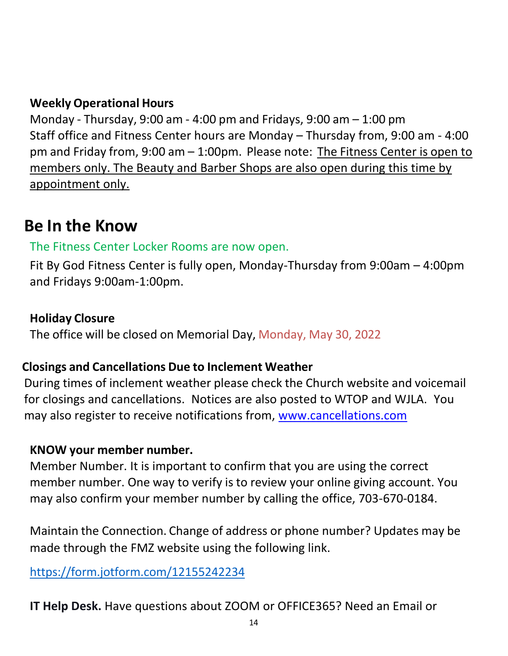### **Weekly Operational Hours**

Monday - Thursday, 9:00 am - 4:00 pm and Fridays, 9:00 am – 1:00 pm Staff office and Fitness Center hours are Monday – Thursday from, 9:00 am - 4:00 pm and Friday from, 9:00 am – 1:00pm. Please note: The Fitness Center is open to members only. The Beauty and Barber Shops are also open during this time by appointment only.

# **Be In the Know**

## The Fitness Center Locker Rooms are now open.

Fit By God Fitness Center is fully open, Monday-Thursday from 9:00am – 4:00pm and Fridays 9:00am-1:00pm.

### **Holiday Closure**

The office will be closed on Memorial Day, Monday, May 30, 2022

## **Closings and Cancellations Due to Inclement Weather**

During times of inclement weather please check the Church website and voicemail for closings and cancellations. Notices are also posted to WTOP and WJLA. You may also register to receive notifications from, [www.cancellations.com](http://www.cancellations.com/)

## **KNOW your member number.**

Member Number. It is important to confirm that you are using the correct member number. One way to verify is to review your online giving account. You may also confirm your member number by calling the office, 703-670-0184.

Maintain the Connection. Change of address or phone number? Updates may be made through the FMZ website using the following link.

<https://form.jotform.com/12155242234>

**IT Help Desk.** Have questions about ZOOM or OFFICE365? Need an Email or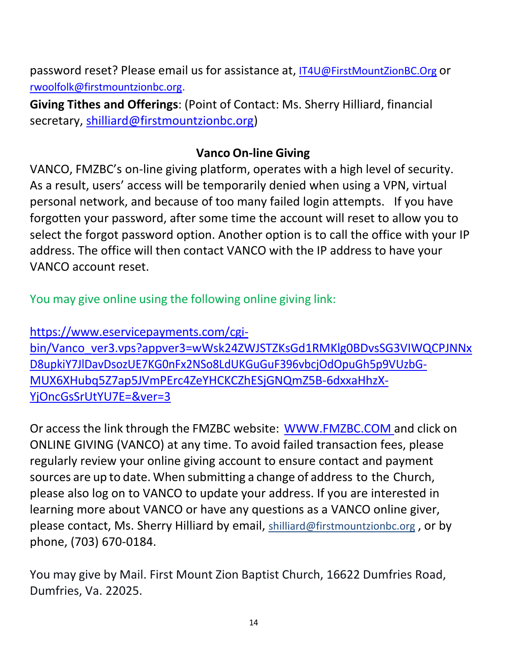password reset? Please email us for assistance at, [IT4U@FirstMountZionBC.Org](mailto:IT4U@FirstMountZionBC.Org) or [rwoolfolk@firstmountzionbc.org](mailto:rwoolfolk@firstmountzionbc.org).

**Giving Tithes and Offerings**: (Point of Contact: Ms. Sherry Hilliard, financial secretary, [shilliard@firstmountzionbc.org\)](mailto:shilliard@firstmountzionbc.org)

### **Vanco On-line Giving**

VANCO, FMZBC's on-line giving platform, operates with a high level of security. As a result, users' access will be temporarily denied when using a VPN, virtual personal network, and because of too many failed login attempts. If you have forgotten your password, after some time the account will reset to allow you to select the forgot password option. Another option is to call the office with your IP address. The office will then contact VANCO with the IP address to have your VANCO account reset.

You may give online using the following online giving link:

[https://www.eservicepayments.com/cgi](https://nam12.safelinks.protection.outlook.com/?url=https%3A%2F%2Fwww.eservicepayments.com%2Fcgi-bin%2FVanco_ver3.vps%3Fappver3%3DwWsk24ZWJSTZKsGd1RMKlg0BDvsSG3VIWQCPJNNxD8upkiY7JlDavDsozUE7KG0nFx2NSo8LdUKGuGuF396vbcjOdOpuGh5p9VUzbG-MUX6XHubq5Z7ap5JVmPErc4ZeYHCKCZhESjGNQmZ5B-6dxxaHhzX-YjOncGsSrUtYU7E%3D%26ver%3D3&data=04%7C01%7Crwoolfolk%40firstmountzionbc.org%7C8e36d24afb35464fcd6708d9df513dd8%7C66d89cb14adc425496b9914ddd4506b0%7C0%7C0%7C637786362320149275%7CUnknown%7CTWFpbGZsb3d8eyJWIjoiMC4wLjAwMDAiLCJQIjoiV2luMzIiLCJBTiI6Ik1haWwiLCJXVCI6Mn0%3D%7C3000&sdata=pCH6ctorjnA2y47HHB8MBVlN2Fj2trhc2TWGfXI9KqM%3D&reserved=0)[bin/Vanco\\_ver3.vps?appver3=wWsk24ZWJSTZKsGd1RMKlg0BDvsSG3VIWQCPJNNx](https://nam12.safelinks.protection.outlook.com/?url=https%3A%2F%2Fwww.eservicepayments.com%2Fcgi-bin%2FVanco_ver3.vps%3Fappver3%3DwWsk24ZWJSTZKsGd1RMKlg0BDvsSG3VIWQCPJNNxD8upkiY7JlDavDsozUE7KG0nFx2NSo8LdUKGuGuF396vbcjOdOpuGh5p9VUzbG-MUX6XHubq5Z7ap5JVmPErc4ZeYHCKCZhESjGNQmZ5B-6dxxaHhzX-YjOncGsSrUtYU7E%3D%26ver%3D3&data=04%7C01%7Crwoolfolk%40firstmountzionbc.org%7C8e36d24afb35464fcd6708d9df513dd8%7C66d89cb14adc425496b9914ddd4506b0%7C0%7C0%7C637786362320149275%7CUnknown%7CTWFpbGZsb3d8eyJWIjoiMC4wLjAwMDAiLCJQIjoiV2luMzIiLCJBTiI6Ik1haWwiLCJXVCI6Mn0%3D%7C3000&sdata=pCH6ctorjnA2y47HHB8MBVlN2Fj2trhc2TWGfXI9KqM%3D&reserved=0) [D8upkiY7JlDavDsozUE7KG0nFx2NSo8LdUKGuGuF396vbcjOdOpuGh5p9VUzbG-](https://nam12.safelinks.protection.outlook.com/?url=https%3A%2F%2Fwww.eservicepayments.com%2Fcgi-bin%2FVanco_ver3.vps%3Fappver3%3DwWsk24ZWJSTZKsGd1RMKlg0BDvsSG3VIWQCPJNNxD8upkiY7JlDavDsozUE7KG0nFx2NSo8LdUKGuGuF396vbcjOdOpuGh5p9VUzbG-MUX6XHubq5Z7ap5JVmPErc4ZeYHCKCZhESjGNQmZ5B-6dxxaHhzX-YjOncGsSrUtYU7E%3D%26ver%3D3&data=04%7C01%7Crwoolfolk%40firstmountzionbc.org%7C8e36d24afb35464fcd6708d9df513dd8%7C66d89cb14adc425496b9914ddd4506b0%7C0%7C0%7C637786362320149275%7CUnknown%7CTWFpbGZsb3d8eyJWIjoiMC4wLjAwMDAiLCJQIjoiV2luMzIiLCJBTiI6Ik1haWwiLCJXVCI6Mn0%3D%7C3000&sdata=pCH6ctorjnA2y47HHB8MBVlN2Fj2trhc2TWGfXI9KqM%3D&reserved=0)[MUX6XHubq5Z7ap5JVmPErc4ZeYHCKCZhESjGNQmZ5B-6dxxaHhzX-](https://nam12.safelinks.protection.outlook.com/?url=https%3A%2F%2Fwww.eservicepayments.com%2Fcgi-bin%2FVanco_ver3.vps%3Fappver3%3DwWsk24ZWJSTZKsGd1RMKlg0BDvsSG3VIWQCPJNNxD8upkiY7JlDavDsozUE7KG0nFx2NSo8LdUKGuGuF396vbcjOdOpuGh5p9VUzbG-MUX6XHubq5Z7ap5JVmPErc4ZeYHCKCZhESjGNQmZ5B-6dxxaHhzX-YjOncGsSrUtYU7E%3D%26ver%3D3&data=04%7C01%7Crwoolfolk%40firstmountzionbc.org%7C8e36d24afb35464fcd6708d9df513dd8%7C66d89cb14adc425496b9914ddd4506b0%7C0%7C0%7C637786362320149275%7CUnknown%7CTWFpbGZsb3d8eyJWIjoiMC4wLjAwMDAiLCJQIjoiV2luMzIiLCJBTiI6Ik1haWwiLCJXVCI6Mn0%3D%7C3000&sdata=pCH6ctorjnA2y47HHB8MBVlN2Fj2trhc2TWGfXI9KqM%3D&reserved=0)[YjOncGsSrUtYU7E=&ver=3](https://nam12.safelinks.protection.outlook.com/?url=https%3A%2F%2Fwww.eservicepayments.com%2Fcgi-bin%2FVanco_ver3.vps%3Fappver3%3DwWsk24ZWJSTZKsGd1RMKlg0BDvsSG3VIWQCPJNNxD8upkiY7JlDavDsozUE7KG0nFx2NSo8LdUKGuGuF396vbcjOdOpuGh5p9VUzbG-MUX6XHubq5Z7ap5JVmPErc4ZeYHCKCZhESjGNQmZ5B-6dxxaHhzX-YjOncGsSrUtYU7E%3D%26ver%3D3&data=04%7C01%7Crwoolfolk%40firstmountzionbc.org%7C8e36d24afb35464fcd6708d9df513dd8%7C66d89cb14adc425496b9914ddd4506b0%7C0%7C0%7C637786362320149275%7CUnknown%7CTWFpbGZsb3d8eyJWIjoiMC4wLjAwMDAiLCJQIjoiV2luMzIiLCJBTiI6Ik1haWwiLCJXVCI6Mn0%3D%7C3000&sdata=pCH6ctorjnA2y47HHB8MBVlN2Fj2trhc2TWGfXI9KqM%3D&reserved=0)

Or access the link through the FMZBC website: [WWW.FMZBC.COM](http://www.fmzbc.comand/) and click on ONLINE GIVING (VANCO) at any time. To avoid failed transaction fees, please regularly review your online giving account to ensure contact and payment sources are up to date. When submitting a change of address to the Church, please also log on to VANCO to update your address. If you are interested in learning more about VANCO or have any questions as a VANCO online giver, please contact, Ms. Sherry Hilliard by email, [shilliard@firstmountzionbc.org](mailto:shilliard@firstmountzionbc.org) , or by phone, (703) 670-0184.

You may give by Mail. First Mount Zion Baptist Church, 16622 Dumfries Road, Dumfries, Va. 22025.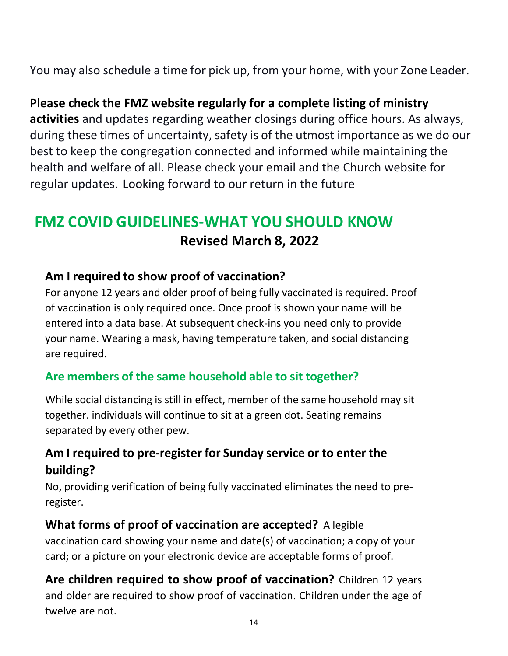You may also schedule a time for pick up, from your home, with your Zone Leader.

## **Please check the FMZ website regularly for a complete listing of ministry**

**activities** and updates regarding weather closings during office hours. As always, during these times of uncertainty, safety is of the utmost importance as we do our best to keep the congregation connected and informed while maintaining the health and welfare of all. Please check your email and the Church website for regular updates. Looking forward to our return in the future

# **FMZ COVID GUIDELINES-WHAT YOU SHOULD KNOW Revised March 8, 2022**

#### **Am I required to show proof of vaccination?**

For anyone 12 years and older proof of being fully vaccinated is required. Proof of vaccination is only required once. Once proof is shown your name will be entered into a data base. At subsequent check-ins you need only to provide your name. Wearing a mask, having temperature taken, and social distancing are required.

## **Are members of the same household able to sit together?**

While social distancing is still in effect, member of the same household may sit together. individuals will continue to sit at a green dot. Seating remains separated by every other pew.

## **Am I required to pre-register for Sunday service or to enter the building?**

No, providing verification of being fully vaccinated eliminates the need to preregister.

### **What forms of proof of vaccination are accepted?** A legible

vaccination card showing your name and date(s) of vaccination; a copy of your card; or a picture on your electronic device are acceptable forms of proof.

**Are children required to show proof of vaccination?** Children 12 years and older are required to show proof of vaccination. Children under the age of twelve are not.